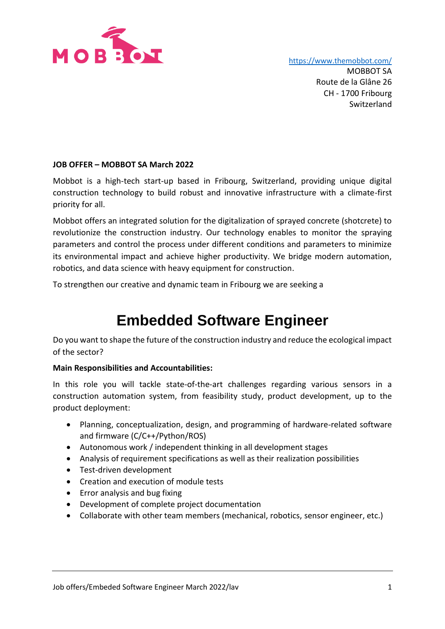

<https://www.themobbot.com/>

MOBBOT SA Route de la Glâne 26 CH - 1700 Fribourg Switzerland

## **JOB OFFER – MOBBOT SA March 2022**

Mobbot is a high-tech start-up based in Fribourg, Switzerland, providing unique digital construction technology to build robust and innovative infrastructure with a climate-first priority for all.

Mobbot offers an integrated solution for the digitalization of sprayed concrete (shotcrete) to revolutionize the construction industry. Our technology enables to monitor the spraying parameters and control the process under different conditions and parameters to minimize its environmental impact and achieve higher productivity. We bridge modern automation, robotics, and data science with heavy equipment for construction.

To strengthen our creative and dynamic team in Fribourg we are seeking a

# **Embedded Software Engineer**

Do you want to shape the future of the construction industry and reduce the ecological impact of the sector?

#### **Main Responsibilities and Accountabilities:**

In this role you will tackle state-of-the-art challenges regarding various sensors in a construction automation system, from feasibility study, product development, up to the product deployment:

- Planning, conceptualization, design, and programming of hardware-related software and firmware (C/C++/Python/ROS)
- Autonomous work / independent thinking in all development stages
- Analysis of requirement specifications as well as their realization possibilities
- Test-driven development
- Creation and execution of module tests
- Error analysis and bug fixing
- Development of complete project documentation
- Collaborate with other team members (mechanical, robotics, sensor engineer, etc.)